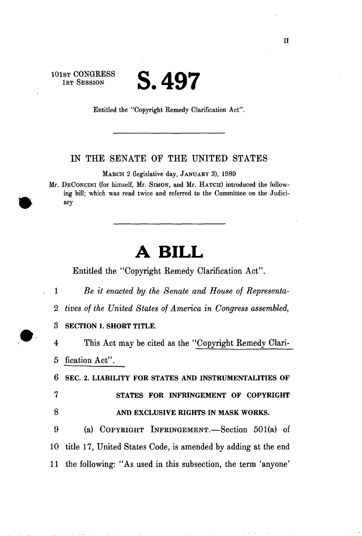$S$ T CONGRESS  $\bullet$  *A C*  $\bullet$  $\mathbf{U} \bullet \mathbf{T} \mathbf{U} \mathbf{U}$ 

Entitled the "Copyright Remedy Clarification Act".

## IN THE SENATE OF THE UNITED STATES

MARCH 2 (legislative day, JANUARY 3), 1989

Mr. DECONCINI (for himself, Mr. SIMON, and Mr. HATCH) introduced the following bill; which was read twice and referred to the Committee on the Judiciary

## **A BILL**

Entitled the "Copyright Remedy Clarification Act".

1 *Be it enacted by the Senate and House of Representa-*

*2 tives of the United States of America in Congress assembled,* 

**3 SECTION 1. SHORT TITLE.** 

4 This Act may be cited as the "Copyright Remedy Clari-5 fication Act".

6 **SEC. 2. LIABILITY FOR STATES AND INSTRUMENTALITIES OF 7 STATES FOR INFRINGEMENT OF COPYRIGHT 8 AND EXCLUSIVE RIGHTS IN MASK WORKS.** 

9 (a) COPYRIGHT INFRINGEMENT.—Section 501(a) of 10 title 17, United States Code, is amended by adding at the end 11 the following: "As used in this subsection, the term 'anyone'